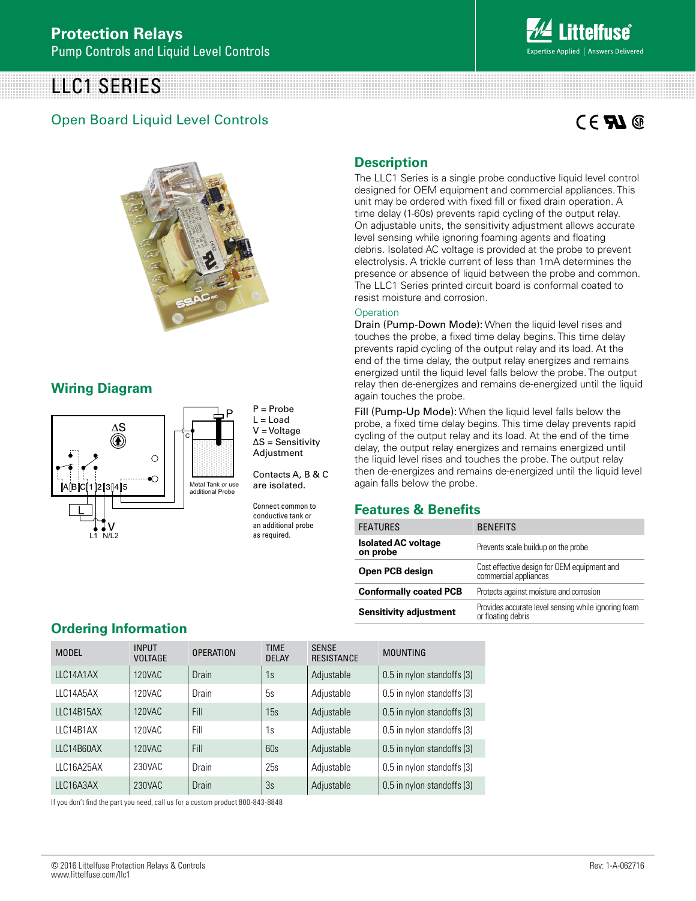# LLC1 SERIES

### Open Board Liquid Level Controls

# $C \in \mathbf{F}$   $\mathbf{M} \circledcirc$



### **Wiring Diagram**



P = Probe  $L =$  Load V = Voltage ∆S = Sensitivity Adjustment

Contacts A, B & C are isolated.

Connect common to conductive tank or an additional probe as required.

## **Description**

The LLC1 Series is a single probe conductive liquid level control designed for OEM equipment and commercial appliances. This unit may be ordered with fixed fill or fixed drain operation. A time delay (1-60s) prevents rapid cycling of the output relay. On adjustable units, the sensitivity adjustment allows accurate level sensing while ignoring foaming agents and floating debris. Isolated AC voltage is provided at the probe to prevent electrolysis. A trickle current of less than 1mA determines the presence or absence of liquid between the probe and common. The LLC1 Series printed circuit board is conformal coated to resist moisture and corrosion.

#### **Operation**

Drain (Pump-Down Mode): When the liquid level rises and touches the probe, a fixed time delay begins. This time delay prevents rapid cycling of the output relay and its load. At the end of the time delay, the output relay energizes and remains energized until the liquid level falls below the probe. The output relay then de-energizes and remains de-energized until the liquid again touches the probe.

Fill (Pump-Up Mode): When the liquid level falls below the probe, a fixed time delay begins. This time delay prevents rapid cycling of the output relay and its load. At the end of the time delay, the output relay energizes and remains energized until the liquid level rises and touches the probe. The output relay then de-energizes and remains de-energized until the liquid level again falls below the probe.

#### **Features & Benefits**

| <b>FEATURES</b>                        | <b>BENEFITS</b>                                                           |  |  |  |
|----------------------------------------|---------------------------------------------------------------------------|--|--|--|
| <b>Isolated AC voltage</b><br>on probe | Prevents scale buildup on the probe                                       |  |  |  |
| Open PCB design                        | Cost effective design for OEM equipment and<br>commercial appliances      |  |  |  |
| <b>Conformally coated PCB</b>          | Protects against moisture and corrosion                                   |  |  |  |
| <b>Sensitivity adjustment</b>          | Provides accurate level sensing while ignoring foam<br>or floating debris |  |  |  |

#### **Ordering Information**

| <b>MODEL</b> | <b>INPUT</b><br><b>VOLTAGE</b> | <b>OPERATION</b> | <b>TIME</b><br><b>DELAY</b> | <b>SENSE</b><br><b>RESISTANCE</b> | <b>MOUNTING</b>            |
|--------------|--------------------------------|------------------|-----------------------------|-----------------------------------|----------------------------|
| LLC14A1AX    | 120VAC                         | <b>Drain</b>     | 1s                          | Adjustable                        | 0.5 in nylon standoffs (3) |
| LLC14A5AX    | 120VAC                         | Drain            | 5s                          | Adjustable                        | 0.5 in nylon standoffs (3) |
| LLC14B15AX   | <b>120VAC</b>                  | Fill             | 15s                         | Adjustable                        | 0.5 in nylon standoffs (3) |
| LLC14B1AX    | 120VAC                         | Fill             | 1s                          | Adjustable                        | 0.5 in nylon standoffs (3) |
| LLC14B60AX   | 120VAC                         | Fill             | 60s                         | Adjustable                        | 0.5 in nylon standoffs (3) |
| LLC16A25AX   | 230VAC                         | Drain            | 25s                         | Adjustable                        | 0.5 in nylon standoffs (3) |
| LLC16A3AX    | 230VAC                         | Drain            | 3s                          | Adjustable                        | 0.5 in nylon standoffs (3) |

If you don't find the part you need, call us for a custom product 800-843-8848